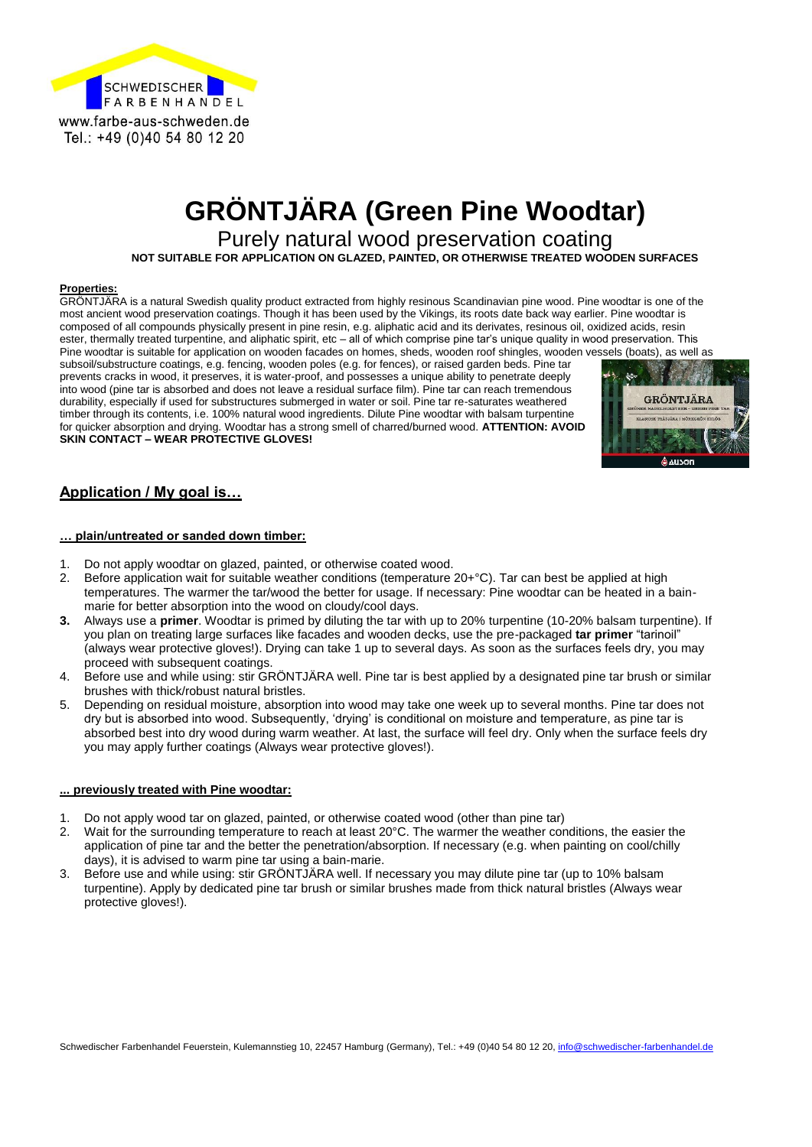

# **GRÖNTJÄRA (Green Pine Woodtar)**

Purely natural wood preservation coating

**NOT SUITABLE FOR APPLICATION ON GLAZED, PAINTED, OR OTHERWISE TREATED WOODEN SURFACES**

#### **Properties:**

GRÖNTJÄRA is a natural Swedish quality product extracted from highly resinous Scandinavian pine wood. Pine woodtar is one of the most ancient wood preservation coatings. Though it has been used by the Vikings, its roots date back way earlier. Pine woodtar is composed of all compounds physically present in pine resin, e.g. aliphatic acid and its derivates, resinous oil, oxidized acids, resin ester, thermally treated turpentine, and aliphatic spirit, etc – all of which comprise pine tar's unique quality in wood preservation. This Pine woodtar is suitable for application on wooden facades on homes, sheds, wooden roof shingles, wooden vessels (boats), as well as

subsoil/substructure coatings, e.g. fencing, wooden poles (e.g. for fences), or raised garden beds. Pine tar prevents cracks in wood, it preserves, it is water-proof, and possesses a unique ability to penetrate deeply into wood (pine tar is absorbed and does not leave a residual surface film). Pine tar can reach tremendous durability, especially if used for substructures submerged in water or soil. Pine tar re-saturates weathered timber through its contents, i.e. 100% natural wood ingredients. Dilute Pine woodtar with balsam turpentine for quicker absorption and drying. Woodtar has a strong smell of charred/burned wood. **ATTENTION: AVOID SKIN CONTACT – WEAR PROTECTIVE GLOVES!**



#### **Application / My goal is…**

#### **… plain/untreated or sanded down timber:**

- 1. Do not apply woodtar on glazed, painted, or otherwise coated wood.
- 2. Before application wait for suitable weather conditions (temperature 20+°C). Tar can best be applied at high temperatures. The warmer the tar/wood the better for usage. If necessary: Pine woodtar can be heated in a bainmarie for better absorption into the wood on cloudy/cool days.
- **3.** Always use a **primer**. Woodtar is primed by diluting the tar with up to 20% turpentine (10-20% balsam turpentine). If you plan on treating large surfaces like facades and wooden decks, use the pre-packaged **tar primer** "tarinoil" (always wear protective gloves!). Drying can take 1 up to several days. As soon as the surfaces feels dry, you may proceed with subsequent coatings.
- 4. Before use and while using: stir GRÖNTJÄRA well. Pine tar is best applied by a designated pine tar brush or similar brushes with thick/robust natural bristles.
- 5. Depending on residual moisture, absorption into wood may take one week up to several months. Pine tar does not dry but is absorbed into wood. Subsequently, 'drying' is conditional on moisture and temperature, as pine tar is absorbed best into dry wood during warm weather. At last, the surface will feel dry. Only when the surface feels dry you may apply further coatings (Always wear protective gloves!).

#### **... previously treated with Pine woodtar:**

- 1. Do not apply wood tar on glazed, painted, or otherwise coated wood (other than pine tar)
- 2. Wait for the surrounding temperature to reach at least 20°C. The warmer the weather conditions, the easier the application of pine tar and the better the penetration/absorption. If necessary (e.g. when painting on cool/chilly days), it is advised to warm pine tar using a bain-marie.
- 3. Before use and while using: stir GRÖNTJÄRA well. If necessary you may dilute pine tar (up to 10% balsam turpentine). Apply by dedicated pine tar brush or similar brushes made from thick natural bristles (Always wear protective gloves!).